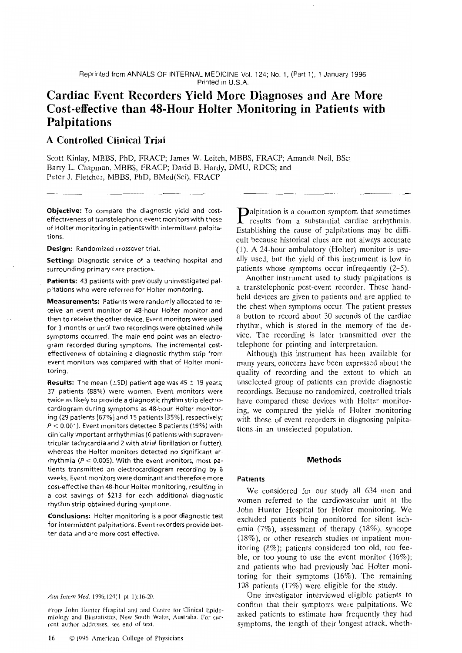Reprinted from ANNALS OF INTERNAL MEDICINE Vol. 124; No. 1, (Part 1), 1 January 1996 Printed in U.S.A.

## Cardiac Event Recorders Yield More Diagnoses and Are More Cost-effective than 48-Hour Holter Monitoring in Patients with Palpitations

### A Controlled Clinical Trial

Scott Kinlay, MBBS, PhD, FRACP; James W. Leitch, MBBS, FRACP; Amanda Neil, BSc; Barry L. Chapman, MBBS, FRACP; David B. Hardy, DMU, RDCS; and Peter J. Fletcher, MBBS, PhD, BMed(Sci), FRACp

Objective: To compare the diagnostic yield and costeffectiveness of transtelephonic event monitors with those of Holter monitoring in patients with intermittent palpitations.

Design: Randomized crossover trial.

Setting: Diagnostic service of a teaching hospital and surrounding primary care practices.

Patients: 43 patients with previously uninvestigated palpitations who were referred for Holter monitoring.

Measurements: Patients were randomly allocated to receive an event monitor or 48-hour Holter monitor and then to receive the other device. Event monitors were used for 3 months or until two recordings were obtained while symptoms occurred. The main end point was an electrogram recorded during symptoms. The incremental costeffectiveness of obtaining a diagnostic rhythm strip from event monitors was compared with that of Holter monitoring.

**Results:** The mean ( $\pm$ SD) patient age was 45  $\pm$  19 years; 37 patients (88%) were women. Event monitors were twice as likely to provide a diagnostic rhythm strip electrocardiogram during symptoms as 48-hour Holter monitoring (29 patients [67%] and 15 patients [35%], respectively;  $P < 0.001$ ). Event monitors detected 8 patients (19%) with clinically important arrhythmias (6 patients with supraventricular tachycardia and 2 with atrial fibrillation or flutter), whereas the Holter monitors detected no significant arrhythmia ( $P < 0.005$ ). With the event monitors, most patients transmitted an electrocardiogram recording by 6 weeks. Event monitors were dominant and therefore more cost-effective than 48-hour Holter monitoring, resulting in a cost savings of \$213 for each additional diagnostic rhythm strip obtained during symptoms.

Conclusions: Holter monitoring is a poor diagnostic test for intermittent palpitations. Event recorders provide better data and are more cost-effective.

Ann Intem Med. 1996;124(l pt l):16-20.

From John Hunter Hospital and and Centre for Clinical Epidemiology and Biostatistics. New South Wales, Australia. For current author addresses, see end of text.

**Palpitation is a common symptom that sometimes**  $\blacksquare$  results from a substantial cardiac arrhythmia. Establishing the cause of palpitations may be difficult because historical clues are not always accurate (1). A 24-hour ambulatory (Holter) monitor is usually used, but the yield of this instrument is low in patients whose symptoms occur infrequently (2–5).<br>Another instrument used to study palpitations is

Another instrument used to study palpitations is a transtelephonic post-event recorder. These handheld devices are given to patients and are applied to the chest when symptoms occur. The patient presses<br>a button to record about 30 seconds of the cardiac a button to record about 30 seconds of the cardiac rhythm, which is stored in the memory of the device. The recording is later transmitted over the telephone for printing and interpretation.

Although this instrument has been available for many years, concerns have been expressed about the qualiry of recording and the extent to which an unselected group of patients can provide diagnostic recordings. Because no randomized, controlled trials have compared these devices with Holter monitoring, we compared the yields of Holter monitoring with those of event recorders in diagnosing palpitations.in an unselected population.

#### Methods

#### Patients

We considered for our study all 634 men and women referred to the cardiovascular unit at the John Hunter Hospital for Holter monitoring. We excluded patients being monitored for silent ischemia (7%), assessment of therapy (18%), syncope (18%), or other research studies or inpatient monitoring  $(8\%)$ ; patients considered too old, too feeble, or too young to use the event monitor  $(16\%)$ ; and patients who had previously had Holter monitoring for their symptoms (16%). The remaining 108 patients  $(17%)$  were eligible for the study.

One investigator interviewed eligible patients to confirm that their symptoms were palpitations. We asked patients to estimate how frequently they had symptoms, the length of their longest attack, wheth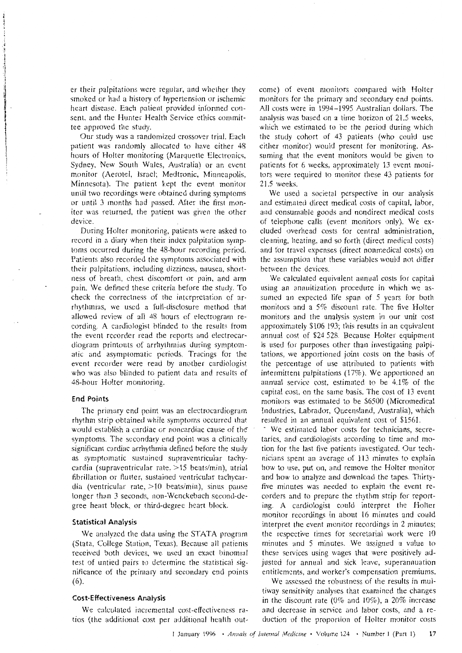er their palpitations were regular, and whether they smoked or had a history of hypertension or ischemic heart disease. Each patient provided informed consent, and the Hunter Health Service ethics committee approved the study.

Our study was a randomized crossover trial. Each patient was randomly allocated to have either 48 hours of Holter monitoring (Marquette Electronics, Sydney, New South Wales, Australia) or an event monitor (Aerotel, Israel; Medtronic, Minneapolis, Minnesota). The patient kept the event monitor until two recordings were obtained during symptoms or until 3 months had passed. After the first monitor was returned, the patient was given the other device.

During Holter monitoring, patients were asked to record in a diary when their index palpitation symptoms occurred during the 48-hour recording period. Patients also recorded the symptoms associated with their palpitations, including dizziness, nausea, shortness of breath, chest discomfort or pain, and arm pain. We defined these criteria before the study. To check the correctness of the interpretation of arrhythmias, we used a full-disclosure method that allowed review of all 48 hours of electrogram recording. A cardiologist blinded to the results from the event recorder read the reports and electrocardiogram printouts of arrhythmias during symptomatic and asymptomatic periods. Tracings for the event recorder were read by another cardiologist who was also blinded to patient data and results of 48-hour Holter monitoring.

#### **End Points**

The primary end point was an electrocardiogram rhythm strip obtained while symptoms occurred that would establish a cardiac or noncardiac cause of the symptoms. The secondary end point was a clinically significant cardiac arrhythmia defined before the study as symptomatic sustained supraventricular tachycardia (supraventricular rate,  $>15$  beats/min), atrial fibrillation or flutter, sustained ventricular tachycardia (ventricular rate,  $>10$  beats/min), sinus pause longer than 3 seconds, non-Wenckebach second-degree heart block, or third-degree heart block.

#### **Statistical Analysis**

We analyzed the data using the STATA program (Stata, College Station, Texas). Because all patients received both devices, we used an exact binomial test of untied pairs to determine the statistical significance of the primary and secondary end points  $(6).$ 

#### **Cost-Effectiveness Analysis**

We calculated incremental cost-effectiveness ratios (the additional cost per additional health outcome) of event monitors compared with Holter monitors for the primary and secondary end points. All costs were in 1994-1995 Australian dollars. The analysis was based on a time horizon of 21.5 weeks. which we estimated to be the period during which the study cohort of 43 patients (who could use either monitor) would present for monitoring. Assuming that the event monitors would be given to patients for 6 weeks, approximately 13 event monitors were required to monitor these 43 patients for 21.5 weeks.

We used a societal perspective in our analysis and estimated direct medical costs of capital, labor, and consumable goods and nondirect medical costs of telephone calls (event monitors only). We excluded overhead costs for central administration. cleaning, heating, and so forth (direct medical costs) and for travel expenses (direct nonmedical costs) on the assumption that these variables would not differ between the devices.

We calculated equivalent annual costs for capital using an annuitization procedure in which we assumed an expected life span of 5 years for both monitors and a  $5\%$  discount rate. The five Holter monitors and the analysis system in our unit cost approximately \$106 193; this results in an equivalent annual cost of \$24 528. Because Holter equipment is used for purposes other than investigating palpitations, we apportioned joint costs on the basis of the percentage of use attributed to patients with intermittent palpitations  $(17%)$ . We apportioned an annual service cost, estimated to be 4.1% of the capital cost, on the same basis. The cost of 13 event monitors was estimated to be \$6500 (Micromedical Industries, Labrador, Queensland, Australia), which resulted in an annual equivalent cost of \$1561.

We estimated labor costs for technicians, secretaries, and cardiologists according to time and motion for the last five patients investigated. Our technicians spent an average of 113 minutes to explain how to use, put on, and remove the Holter monitor and how to analyze and download the tapes. Thirtyfive minutes was needed to explain the event recorders and to prepare the rhythm strip for reporting. A cardiologist could interpret the Holter monitor recordings in about 16 minutes and could interpret the event monitor recordings in 2 minutes; the respective times for secretarial work were 10 minutes and 5 minutes. We assigned a value to these services using wages that were positively adjusted for annual and sick leave, superannuation entitlements, and worker's compensation premiums.

We assessed the robustness of the results in multiway sensitivity analyses that examined the changes in the discount rate ( $0\%$  and  $10\%$ ), a  $20\%$  increase and decrease in service and labor costs, and a reduction of the proportion of Holter monitor costs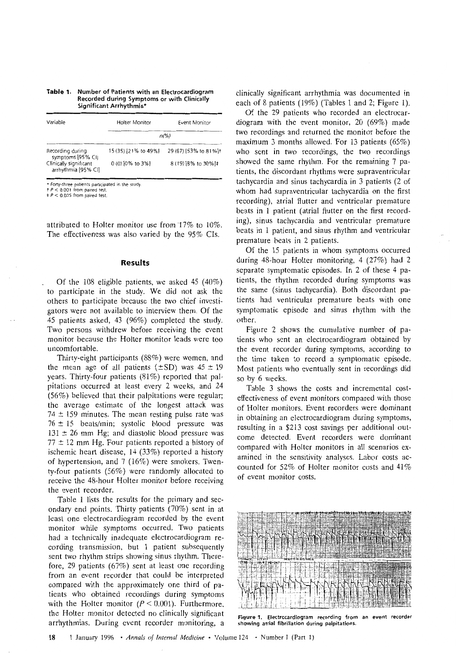# Table 1. Number of Patients with an Electrocardiogram<br>Recorded during Symptoms or with Clinically<br>Significant Arrhythmia\*

| Variable                                      | Holter Monitor       | Event Monitor                     |  |
|-----------------------------------------------|----------------------|-----------------------------------|--|
|                                               | $n\frac{\gamma}{6}$  |                                   |  |
| Recording during<br>symptoms [95% CI]         | 15 (35) [21% to 49%] | 29 (67) [53% to 81%] <sup>+</sup> |  |
| Clinically significant<br>arrhythmia [95% CI] | $0(0)$ [0% to 3%]    | 8 (19) [8% to 30%]‡               |  |

\* Forty-three patients participated in the study.<br>  $t P < 0.001$  from paired test.<br>  $t P < 0.005$  from paired test.

attributed to Holter monitor use from  $17\%$  to  $10\%$ . The effectiveness was also varied by the  $95\%$  CIs.

#### Results

Of the 108 eligible patients, we asked 45 (40%) to participate in the study. We did not ask the others to participate because the two chief investigators were not available to interview them. Of the 45 patients asked, 43 (96%) completed the study. Two persons withdrew before receiving the event monitor because the Holter monitor leads were too uncomfortable.

Thirty-eight participants (88%) were women, and the mean age of all patients ( $\pm$ SD) was 45  $\pm$  19 years. Thirty-four patients (81%) reported that palpitations occurred at least every 2 weeks, and 24  $(56%)$  believed that their palpitations were regular; the average estimate of the longest attack was  $74 \pm 159$  minutes. The mean resting pulse rate was  $76 \pm 15$  beats/min; systolic blood pressure was  $131 \pm 26$  mm Hg; and diastolic blood pressure was  $77 \pm 12$  mm Hg. Four patients reported a history of ischemic heart disease,  $14$  (33%) reported a history of hypertension, and 7 (16%) were smokers. Twen\_ ty-four patients  $(56\%)$  were randomly allocated to receive the 48-hour Holter monitor before receivins the event recorder.

Table 1 lists the results for the primary and secondary end points. Thirty patients  $(70\%)$  sent in at least one electrocardiogram recorded by the event monitor while symptoms occurred. Two patients had a technically inadequate electrocardiogram recording transmission, but I patient subsequently sent fwo rhythm strips showing sinus rhythm. There\_ fore, 29 patients ( $67\%$ ) sent at least one recording from an event recorder that could be interpreted compared with the approximately one third of pa\_ tients who obtained recordings during symptoms with the Holter monitor ( $P < 0.001$ ). Furthermore, the Holter monitor detected no clinically significant arrhythmias. During event recorder monitoring, a

clinically significant arrhythmia was documented in each of 8 patients (19%) (Tables 1 and 2; Figure 1).

Of the 29 patients who recorded an electrocardiogram with the event monitor,  $20$  (69%) made two recordings and returned the monitor before the maximum 3 months allowed. For 13 patients  $(65%)$ who sent in two recordings, the two recordings showed the same rhythm. For the remaining 7 pashowed the same rhythm. For the remaining 7 patients, the discordant rhythms were supraventricular tachycardia and sinus tachycardia in 3 patients (2 of whom had supraventricular tachycardia on the first recording), atrial flutter and ventricular premature beats in 1 patient (atrial flutter on the first recording), sinus tachycardia and ventricular premature beats in 1 patient, and sinus rhythm and ventricular premature beats in 2 patients.<br>Of the 15 patients in whom symptoms occurred

during 48-hour Holter monitoring, 4  $(27%)$  had 2 separate symptomatic episodes. In 2 of these 4 patients, the rhythm recorded during symptoms was the same (sinus tachycardia). Both discordant patients had ventricular premature beats with one tients had ventricular premature beats with one symptomatic episode and sinus rhythm with the

other.<br>Figure 2 shows the cumulative number of patients who sent an electrocardiogram obtained by the event recorder during symptoms, according to the time taken to record a symptomatic episode. the time taken to record a symptomatic episode. Most patients who eventually sent in recordings did so by 6 weeks.<br>Table 3 shows the costs and incremental cost-

effectiveness of event monitors compared with those of Holter monitors. Event recorders were dominant in obtaining an electrocardiogram during symptoms, In obtaining an electrocardiogram during symptoms, resulting in a \$213 cost savings per additional out\_ come detected. Event recorders were dominant compared with Holter monitors in all scenarios ex amined in the sensitivity analyses. Labor costs ac counted for  $52\%$  of Holter monitor costs and  $41\%$ of event monitor costs.



Figure 1. Electrocardiogram recording from an event recorder showing atrial fibrillation during palpitltions.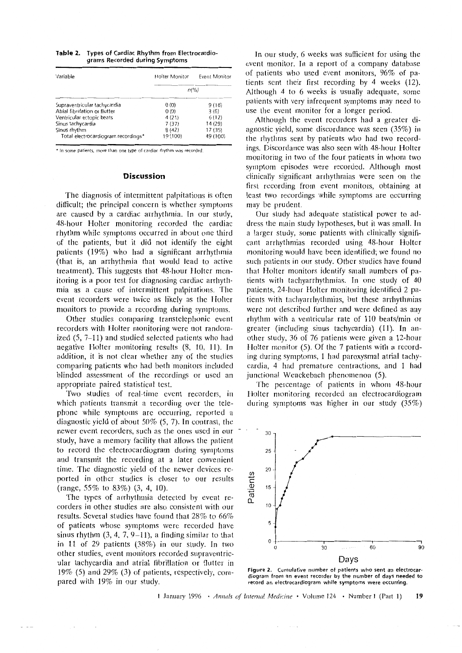| <b>Table 2.</b> Types of Cardiac Rhythm from Electrocardio- |  |  |
|-------------------------------------------------------------|--|--|
| grams Recorded during Symptoms                              |  |  |

| Variable                            | Holter Monitor | Event Monitor |  |  |
|-------------------------------------|----------------|---------------|--|--|
|                                     | $n\frac{9}{6}$ |               |  |  |
| Supraventricular tachycardia        | 0(0)           | 9(18)         |  |  |
| Atrial fibrillation or flutter      | 0(0)           | 3(6)          |  |  |
| Ventricular ectopic beats           | 4(21)          | 6(12)         |  |  |
| Sinus tachycardia                   | 7 (37)         | 14 (29)       |  |  |
| Sinus rhythm                        | 8(42)          | 17(35)        |  |  |
| Total electrocardiogram recordings* | 19 (100)       | 49 (100)      |  |  |

'In some patients, more lhan one type of cardiac rhythm was recorded

#### Discussion

The diagnosis of interrnittent palpitations is often difficult; the principal concern is whether symptoms are caused by a cardiac arrhythmia. In our study, 48-hour Holter monitoring recorded the cardiac rhythm while synrptonrs occurred in about one third of the patients, but it did not identify the eight patients (19%) who had a significant arrhythmia (that is, an arrhythmia that would lead to active treatment). This suggests that 48-hour Holter monitoring is a poor test for diagnosing cardiac arrhythmia as a cause of intermittent palpitations. The event recorders were twice as likely as the Holter monitors to provide a recording during symptoms.

Other studies comparing transtelephonic event recorders with Holter monitoring were not randomized  $(5, 7-11)$  and studied selected patients who had negative Holter monitoring results (8, 10, 11). In addition, it is not clear whether any of the studies comparing patients who had both monitors included blinded assessment of the recordings or used an appropriate paired statistical test.

Two studies of real-time event recorders, in which patients transmit a recording over the telephone while symptoms are occurring, reported a diagnostic yield of about 50%  $(5, 7)$ . In contrast, the newer event recorders, such as the ones used in our study, have a memory facility that allows the patient to record the electrocardiogram during symptoms and transmit the recording at a later convenient time. The diagnostic yield of the newer devices reported in other studies is closer to our results (range,  $55\%$  to  $83\%$ ) (3, 4, 10).

The types of arrhythmia detected by event recorders in other studies are also consistent with our results. Several studies have found that  $28\%$  to  $66\%$ of patients whose symptoms were recorded have sinus rhythm  $(3, 4, 7, 9-11)$ , a finding similar to that in 11 of 29 patients  $(38\%)$  in our study. In two other studies, event monitors recorded supraventricular tachycardia and atrial fibrillation or flutter in 19% (5) and 29% (3) of patients, respectively, compared with 19% in our study.

In our study, 6 weeks was sufficient for using the event monitor. In a report of a company database of patients who used event monitors,  $96\%$  of patients sent their first recording by 4 weeks  $(12)$ . Although 4 to 6 weeks is usually adequate, some patients with very infrequent symptoms may need to use the event monitor for a longer period.

Although the event recorders had a greater diagnostic yield, some discordance was seen  $(35%)$  in the rhythms sent by patients who had two recordings. Discordance was also seen with 48-hour Holter monitoring in two of the four patients in whom two symptom episodes were recorded. Although most clinically significant arrhythmias were seen on the first recording from event monitors, obtaining at ast recording from event monitors, obtaining at cast two recordings with symptoms are occurring<br>nay be prudent may be prudent.<br>Our study had adequate statistical power to ad-

dress the main study hypotheses, but it was small. In a larger study, some patients with clinically significant arrhythmias recorded using 48-hour Holter monitoring would have been identified; we found no such patients in our study. Other studies have found that Holter monitors identify small numbers of patients with tachyarrhythmias. In one study of  $40$ patients, 24-hour Holter monitoring identified 2 patients with tachyarrhythmias, but these arrhythmias were not described further and were defined as any rhythm with a ventricular rate of 110 beats/min or greater (including sinus tachycardia) (11). In another study, 36 of 76 patients were given a 12-hour Holter monitor (5). Of the 7 patients with a recording during symptoms, 1 had paroxysmal atrial tachycardia, 4 had premature contractions, and 1 had cardia, 4 had premature contractions, and t had junctional Wenckebach phenomenon (5).

The percentage of patients in whom 48-hour<br>Holter monitoring recorded an electrocardiogram Iloltcr nronitoring recorded an electrocardiogram during symptoms was inglier in our study  $(33/6)$ 



diogram from an event recorder by the number of days needed to record an electrocardiogram while symptoms were occurring.

1 January 1996 · Annals of Internal Medicine  $\cdot$  Volume 124 · Number 1 (Part 1) 19

 $\sim$   $\sim$   $\sim$  $\overline{\phantom{a}}$